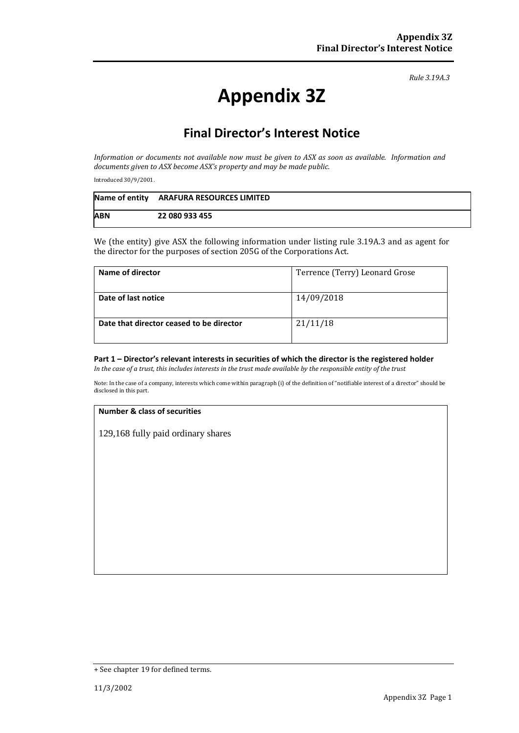*Rule 3.19A.3*

# **Appendix 3Z**

## **Final Director's Interest Notice**

*Information or documents not available now must be given to ASX as soon as available. Information and documents given to ASX become ASX's property and may be made public.*

Introduced 30/9/2001.

|            | Name of entity ARAFURA RESOURCES LIMITED |
|------------|------------------------------------------|
| <b>ABN</b> | 22 080 933 455                           |

We (the entity) give ASX the following information under listing rule 3.19A.3 and as agent for the director for the purposes of section 205G of the Corporations Act.

| Name of director                         | Terrence (Terry) Leonard Grose |
|------------------------------------------|--------------------------------|
| Date of last notice                      | 14/09/2018                     |
| Date that director ceased to be director | 21/11/18                       |

#### **Part 1 – Director's relevant interests in securities of which the director is the registered holder** *In the case of a trust, this includes interests in the trust made available by the responsible entity of the trust*

Note: In the case of a company, interests which come within paragraph (i) of the definition of "notifiable interest of a director" should be disclosed in this part.

#### **Number & class of securities**

129,168 fully paid ordinary shares

<sup>+</sup> See chapter 19 for defined terms.